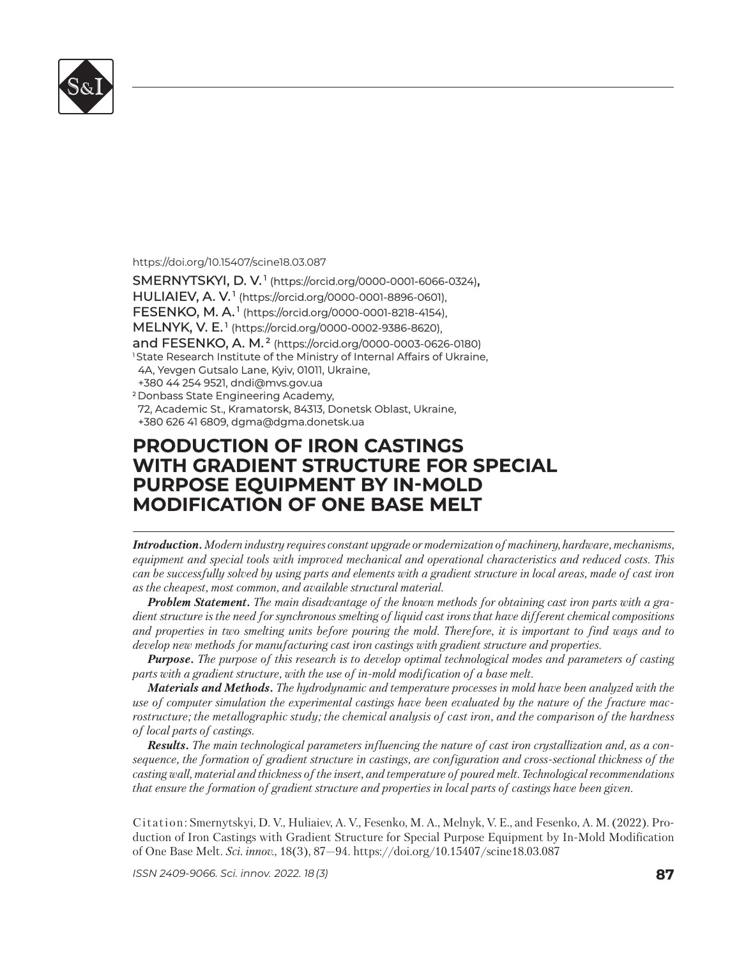

## https://doi.org/10.15407/scine18.03.087

SMERNYTSKYI, D. V.<sup>1</sup> (https://orcid.org/0000-0001-6066-0324), **HULIAIEV, A. V.<sup>1</sup> (https://orcid.org/0000-0001-8896-0601)**, **FESENKO, M. A.<sup>1</sup> (https://orcid.org/0000-0001-8218-4154), MELNYK, V. E.<sup>1</sup> (https://orcid.org/0000-0002-9386-8620),** and FESENKO, A. M.<sup>2</sup> (https://orcid.org/0000-0003-0626-0180) <sup>1</sup>State Research Institute of the Ministry of Internal Affairs of Ukraine, 4A, Yevgen Gutsalo Lane, Kyiv, 01011, Ukraine, +380 44 254 9521, dndi@mvs.gov.ua +380 44 254 9521, <sup>2</sup> Donbass State Engineering Academy, 72, Academic St., Kramatorsk, 84313, Donetsk Oblast, Ukraine, +380 626 41 6809, dgma@dgma.donetsk.ua +380 626 41 6809,

## **PRODUCTION OF IRON CASTINGS RODUCTION OF IRON CASTINGS WITH GRADIENT STRUCTURE FOR SPECIAL PURPOSE EQUIPMENT BY IN-MOLD URPOSE EQUIPMENT BY IN-MOLD MODIFICATION OF ONE BASE MELT ODIFICATION OF ONE BASE MELT**

*Introduction. Modern industry requires constant upgrade or modernization of machinery, hardware, mechanisms, equipment and special tools with improved mechanical and operational characteristics and reduced costs. This can be successfully solved by using parts and elements with a gradient structure in local areas, made of cast iron as the cheapest, most common, and available structural material.* 

*Problem Statement. The main disadvantage of the known methods for obtaining cast iron parts with a gradient structure is the need for synchronous smelting of liquid cast irons that have different chemical com positions and properties in two smelting units before pouring the mold. Therefore, it is important to find ways and to develop new methods for manufacturing cast iron castings with gradient structure and properties.*

*Purpose. The purpose of this research is to develop optimal technological modes and parameters of casting parts with a gradient structure, with the use of in-mold modification of a base melt.*

*Materials and Methods. The hydrodynamic and temperature processes in mold have been analyzed with the use of computer simulation the experimental castings have been evaluated by the nature of the fracture macrostructure; the metallographic study; the chemical analysis of cast iron, and the comparison of the hardness of local parts of castings.*

*Results. The main technological parameters influencing the nature of cast iron crystallization and, as a consequence, the formation of gradient structure in castings, are configuration and cross-sectional thickness of the casting wall, material and thickness of the insert, and temperature of poured melt. Technological recommendations that ensure the formation of gradient structure and properties in local parts of castings have been given.*

Citation: Smernytskyi, D. V., Huliaiev, A. V., Fesenko, M. A., Melnyk, V. E., and Fesenko, A. M. (2022). Production of Iron Castings with Gradient Structure for Special Purpose Equipment by In-Mold Modification of One Base Melt. *Sci. in nov.*, 18(3), 87—94. https://doi.org/ 10.15407/scine18.03.087

*ISSN 2409-9066. Sci. innov.* 2022. 18 (3) **87**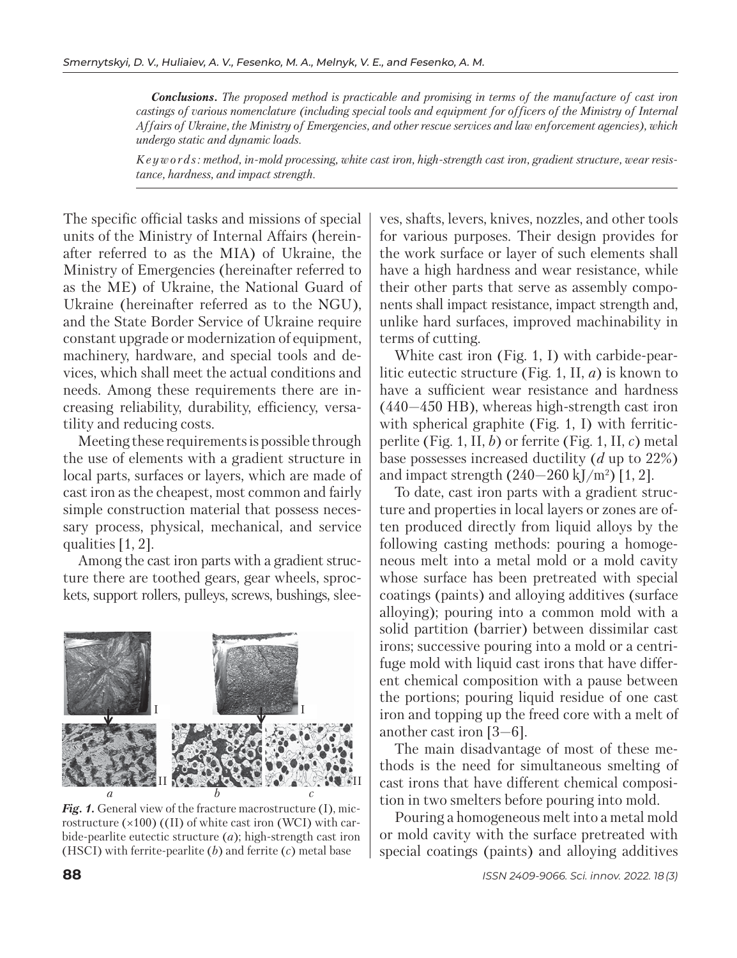*Conclusions. The proposed method is practicable and promising in terms of the manufacture of cast iron castings of various nomenclature (including special tools and equipment for officers of the Ministry of Internal Affairs of Ukraine, the Ministry of Emergencies, and other rescue services and law enforcement agencies), which undergo static and dynamic loads.*

*K e y w o r d s : method, in-mold processing, white cast iron, high-strength cast iron, gradient structure, wear resistance, hardness, and impact strength.*

The specific official tasks and missions of special units of the Ministry of Internal Affairs (hereinafter referred to as the MIA) of Ukraine, the Ministry of Emergencies (hereinafter referred to as the ME) of Ukraine, the National Guard of Ukraine (hereinafter referred as to the NGU), and the State Border Service of Ukraine require constant upgrade or modernization of equipment, machinery, hardware, and special tools and devices, which shall meet the actual conditions and needs. Among these requirements there are increasing reliability, durability, efficiency, versatility and reducing costs.

Meeting these requirements is possible through the use of elements with a gradient structure in local parts, surfaces or layers, which are made of cast iron as the cheapest, most common and fairly simple construction material that possess necessary process, physical, mechanical, and service qualities [1, 2].

Among the cast iron parts with a gradient structure there are toothed gears, gear wheels, sprockets, support rollers, pulleys, screws, bushings, slee-



*Fig. 1.* General view of the fracture macrostructure (I), microstructure (×100) ((II) of white cast iron (WCI) with carbide-pearlite eutectic structure (*a*); high-strength cast iron (HSCI) with ferrite-pearlite (*b*) and ferrite (*c*) metal base

ves, shafts, levers, knives, nozzles, and other tools for various purposes. Their design provides for the work surface or layer of such elements shall have a high hardness and wear resistance, while their other parts that serve as assembly components shall impact resistance, impact strength and, unlike hard surfaces, improved machinability in terms of cutting.

White cast iron (Fig. 1, I) with carbide-pearlitic eutectic structure (Fig. 1, II, *a*) is known to have a sufficient wear resistance and hardness (440—450 HB), whereas high-strength cast iron with spherical graphite (Fig. 1, I) with ferriticperlite (Fig. 1, II, *b*) or ferrite (Fig. 1, II, *c*) metal base possesses increased ductility (*d* up to 22%) and impact strength (240—260 kJ/m2 ) [1, 2].

To date, cast iron parts with a gradient structure and properties in local layers or zones are often produced directly from liquid alloys by the following casting methods: pouring a homogeneous melt into a metal mold or a mold cavity whose surface has been pretreated with special coatings (paints) and alloying additives (surface alloying); pouring into a common mold with a solid partition (barrier) between dissimilar cast irons; successive pouring into a mold or a centrifuge mold with liquid cast irons that have different chemical composition with a pause between the portions; pouring liquid residue of one cast iron and topping up the freed core with a melt of another cast iron [3—6].

The main disadvantage of most of these methods is the need for simultaneous smelting of cast irons that have different chemical composition in two smelters before pouring into mold.

Pouring a homogeneous melt into a metal mold or mold cavity with the surface pretreated with special coatings (paints) and alloying additives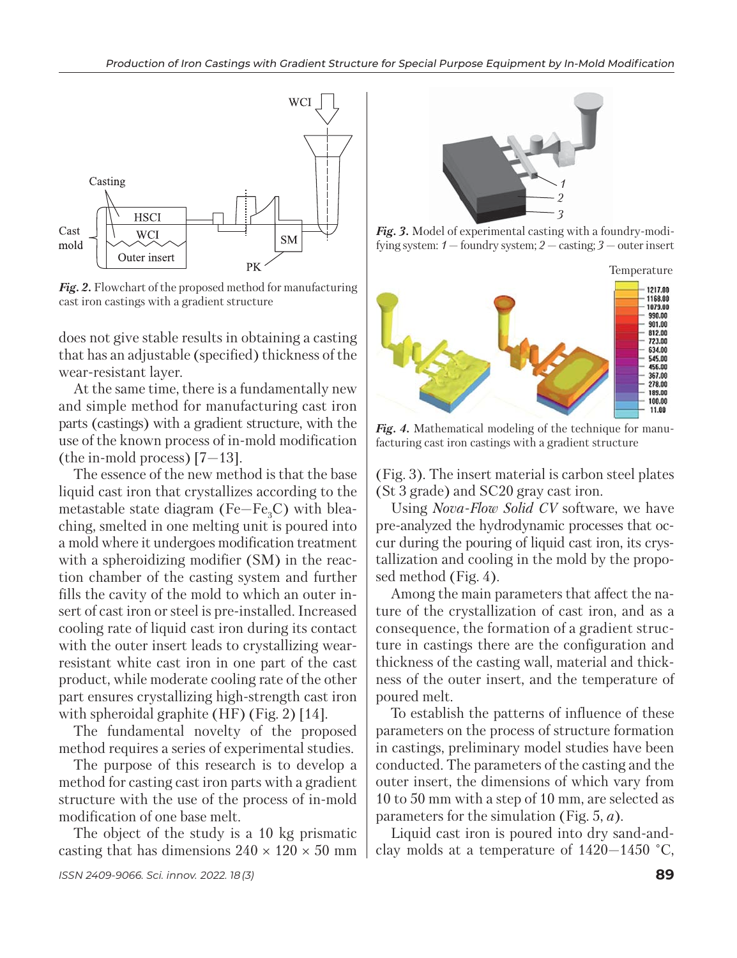

*Fig. 2.* Flowchart of the proposed method for manufacturing cast iron castings with a gradient structure

does not give stable results in obtaining a casting that has an adjustable (specified) thickness of the wear-resistant layer.

At the same time, there is a fundamentally new and simple method for manufacturing cast iron parts (castings) with a gradient structure, with the use of the known process of in-mold modification (the in-mold process) [7—13].

The essence of the new method is that the base liquid cast iron that crystallizes according to the metastable state diagram (Fe $-Fe<sub>3</sub>C$ ) with bleaching, smelted in one melting unit is poured into a mold where it undergoes modification treatment with a spheroidizing modifier (SM) in the reaction chamber of the casting system and further fills the cavity of the mold to which an outer insert of cast iron or steel is pre-installed. Increased cooling rate of liquid cast iron during its contact with the outer insert leads to crystallizing wearresistant white cast iron in one part of the cast product, while moderate cooling rate of the other part ensures crystallizing high-strength cast iron with spheroidal graphite (HF) (Fig. 2) [14].

The fundamental novelty of the proposed method requires a series of experimental studies.

The purpose of this research is to develop a method for casting cast iron parts with a gradient structure with the use of the process of in-mold modification of one base melt.

The object of the study is a 10 kg prismatic casting that has dimensions  $240 \times 120 \times 50$  mm



*Fig. 3.* Model of experimental casting with a foundry-modifying system: *1* — foundry system; *2* — casting; *3* — outer insert



Fig. 4. Mathematical modeling of the technique for manufacturing cast iron castings with a gradient structure

(Fig. 3). The insert material is carbon steel plates (St 3 grade) and SC20 gray cast iron.

Using *Nova-Flow Solid CV* software, we have pre-analyzed the hydrodynamic processes that occur during the pouring of liquid cast iron, its crystallization and cooling in the mold by the proposed method (Fig. 4).

Among the main parameters that affect the nature of the crystallization of cast iron, and as a consequence, the formation of a gradient structure in castings there are the configuration and thickness of the casting wall, material and thickness of the outer insert, and the temperature of poured melt.

To establish the patterns of influence of these parameters on the process of structure formation in castings, preliminary model studies have been conducted. The parameters of the casting and the outer insert, the dimensions of which vary from 10 to 50 mm with a step of 10 mm, are selected as parameters for the simulation (Fig. 5, *a*).

Liquid cast iron is poured into dry sand-andclay molds at a temperature of 1420—1450 °С,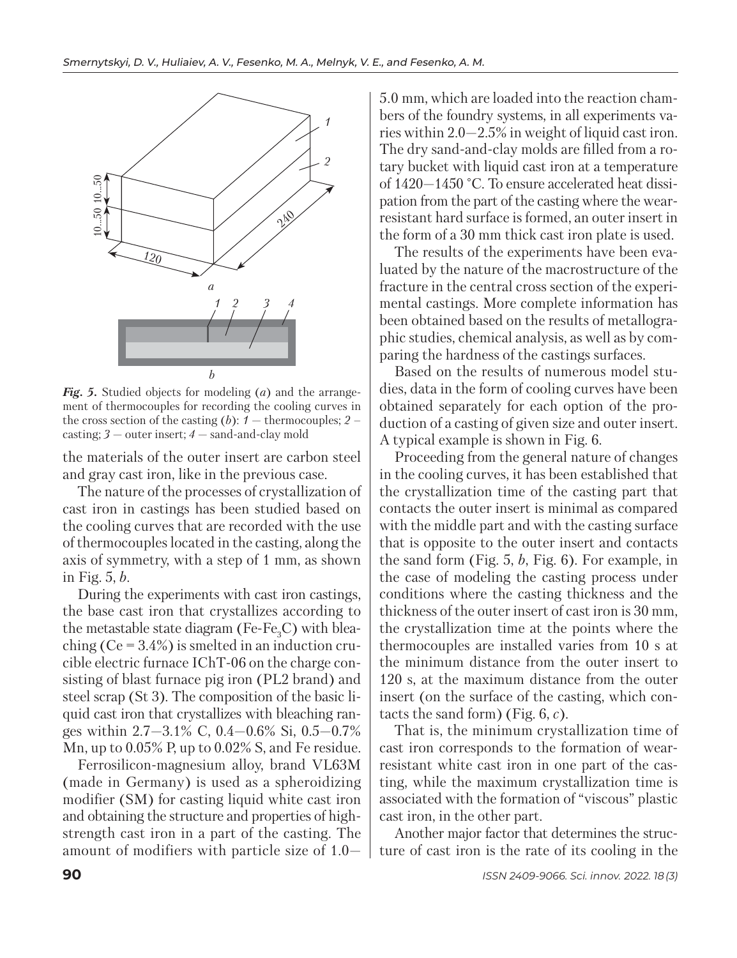

*Fig. 5.* Studied objects for modeling (*a*) and the arrangement of thermocouples for recording the cooling curves in the cross section of the casting (*b*):  $1 -$  thermocouples;  $2$ casting; *3* — outer insert; *4* — sand-and-clay mold

the materials of the outer insert are carbon steel and gray cast iron, like in the previous case.

The nature of the processes of crystallization of cast iron in castings has been studied based on the cooling curves that are recorded with the use of thermocouples located in the casting, along the axis of symmetry, with a step of 1 mm, as shown in Fig. 5, *b*.

During the experiments with cast iron castings, the base cast iron that crystallizes according to the metastable state diagram (Fe-Fe<sub>3</sub>C) with bleaching  $(Ce = 3.4\%)$  is smelted in an induction crucible electric furnace IChT-06 on the charge consisting of blast furnace pig iron (PL2 brand) and steel scrap (St 3). The composition of the basic liquid cast iron that crystallizes with bleaching ranges within  $2.7 - 3.1\%$  C,  $0.4 - 0.6\%$  Si,  $0.5 - 0.7\%$ Mn, up to 0.05% P, up to 0.02% S, and Fe residue.

Ferrosilicon-magnesium alloy, brand VL63M (made in Germany) is used as a spheroidizing modifier (SM) for casting liquid white cast iron and obtaining the structure and properties of highstrength cast iron in a part of the casting. The amount of modifiers with particle size of 1.05.0 mm, which are loaded into the reaction chambers of the foundry systems, in all experiments varies within 2.0—2.5% in weight of liquid cast iron. The dry sand-and-clay molds are filled from a rotary bucket with liquid cast iron at a temperature of 1420—1450 °С. To ensure accelerated heat dissipation from the part of the casting where the wearresistant hard surface is formed, an outer insert in the form of a 30 mm thick cast iron plate is used.

The results of the experiments have been evaluated by the nature of the macrostructure of the fracture in the central cross section of the experimental castings. More complete information has been obtained based on the results of metallographic studies, chemical analysis, as well as by comparing the hardness of the castings surfaces.

Based on the results of numerous model studies, data in the form of cooling curves have been obtained separately for each option of the production of a casting of given size and outer insert. A typical example is shown in Fig. 6.

Proceeding from the general nature of changes in the cooling curves, it has been established that the crystallization time of the casting part that contacts the outer insert is minimal as compared with the middle part and with the casting surface that is opposite to the outer insert and contacts the sand form (Fig. 5, *b*, Fig. 6). For example, in the case of modeling the casting process under conditions where the casting thickness and the thickness of the outer insert of cast iron is 30 mm, the crystallization time at the points where the thermocouples are installed varies from 10 s at the minimum distance from the outer insert to 120 s, at the maximum distance from the outer insert (on the surface of the casting, which contacts the sand form) (Fig. 6, *c*).

That is, the minimum crystallization time of cast iron corresponds to the formation of wearresistant white cast iron in one part of the casting, while the maximum crystallization time is associated with the formation of "viscous" plastic cast iron, in the other part.

Another major factor that determines the structure of cast iron is the rate of its cooling in the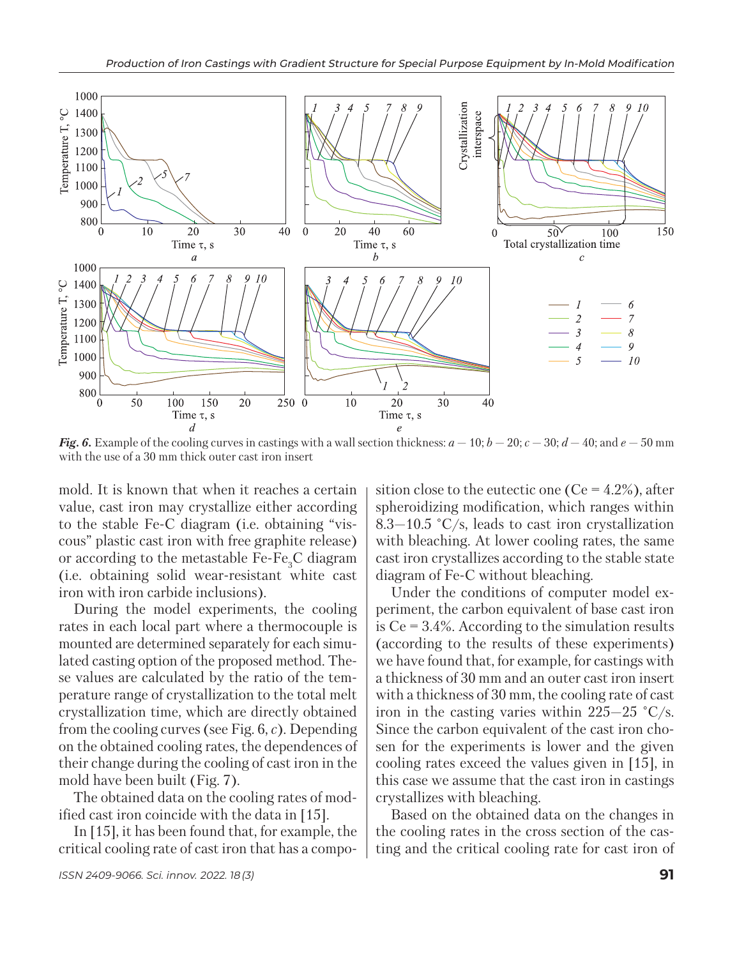

*Fig. 6.* Example of the cooling curves in castings with a wall section thickness:  $a - 10$ ;  $b - 20$ ;  $c - 30$ ;  $d - 40$ ; and  $e - 50$  mm with the use of a 30 mm thick outer cast iron insert

mold. It is known that when it reaches a certain value, cast iron may crystallize either according to the stable Fe-C diagram (i.e. obtaining "viscous" plastic cast iron with free graphite release) or according to the metastable  $Fe-Fe_3C$  diagram (i.e. obtaining solid wear-resistant white cast iron with iron carbide inclusions).

During the model experiments, the cooling rates in each local part where a thermocouple is mounted are determined separately for each simulated casting option of the proposed method. These values are calculated by the ratio of the temperature range of crystallization to the total melt crystallization time, which are directly obtained from the cooling curves (see Fig. 6, *c*). Depending on the obtained cooling rates, the dependences of their change during the cooling of cast iron in the mold have been built (Fig. 7).

The obtained data on the cooling rates of modified cast iron coincide with the data in [15].

In [15], it has been found that, for example, the critical cooling rate of cast iron that has a composition close to the eutectic one ( $Ce = 4.2\%$ ), after spheroidizing modification, which ranges within 8.3–10.5  $\degree$ C/s, leads to cast iron crystallization with bleaching. At lower cooling rates, the same cast iron crystallizes according to the stable state diagram of Fe-C without bleaching.

Under the conditions of computer model experiment, the carbon equivalent of base cast iron is  $Ce = 3.4\%$ . According to the simulation results (according to the results of these experiments) we have found that, for example, for castings with a thickness of 30 mm and an outer cast iron insert with a thickness of 30 mm, the cooling rate of cast iron in the casting varies within 225—25 °С/s. Since the carbon equivalent of the cast iron chosen for the experiments is lower and the given cooling rates exceed the values given in [15], in this case we assume that the cast iron in castings crystallizes with bleaching.

Based on the obtained data on the changes in the cooling rates in the cross section of the casting and the critical cooling rate for cast iron of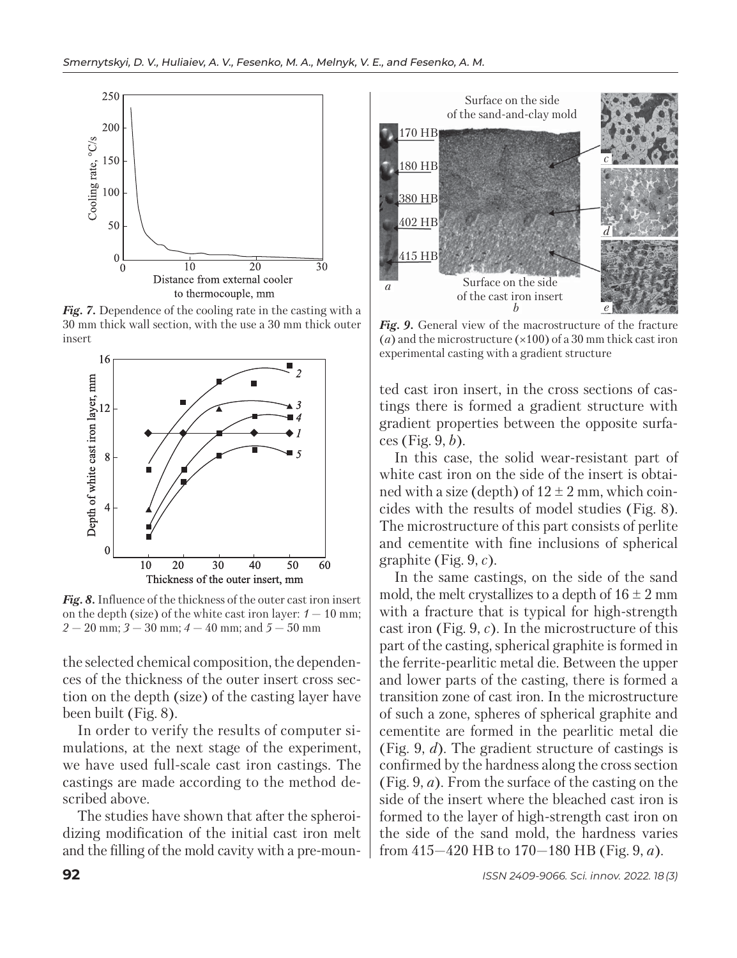

*Fig. 7.* Dependence of the cooling rate in the casting with a 30 mm thick wall section, with the use a 30 mm thick outer insert



*Fig. 8.* Influence of the thickness of the outer cast iron insert on the depth (size) of the white cast iron layer:  $1 - 10$  mm;  $2 - 20$  mm;  $3 - 30$  mm;  $4 - 40$  mm; and  $5 - 50$  mm

the selected chemical composition, the dependences of the thickness of the outer insert cross section on the depth (size) of the casting layer have been built (Fig. 8).

In order to verify the results of computer simulations, at the next stage of the experiment, we have used full-scale cast iron castings. The castings are made according to the method described above.

The studies have shown that after the spheroidizing modification of the initial cast iron melt and the filling of the mold cavity with a pre-moun-



*Fig. 9.* General view of the macrostructure of the fracture (*a*) and the microstructure (×100) of a 30 mm thick cast iron experimental casting with a gradient structure

ted cast iron insert, in the cross sections of castings there is formed a gradient structure with gradient properties between the opposite surfaces (Fig. 9, *b*).

In this case, the solid wear-resistant part of white cast iron on the side of the insert is obtained with a size (depth) of  $12 \pm 2$  mm, which coincides with the results of model studies (Fig. 8). The microstructure of this part consists of perlite and cementite with fine inclusions of spherical graphite (Fig. 9, *c*).

In the same castings, on the side of the sand mold, the melt crystallizes to a depth of  $16 \pm 2$  mm with a fracture that is typical for high-strength cast iron (Fig. 9, *c*). In the microstructure of this part of the casting, spherical graphite is formed in the ferrite-pearlitic metal die. Between the upper and lower parts of the casting, there is formed a transition zone of cast iron. In the microstructure of such a zone, spheres of spherical graphite and cementite are formed in the pearlitic metal die (Fig. 9, *d*). The gradient structure of castings is confirmed by the hardness along the cross section (Fig. 9, *a*). From the surface of the casting on the side of the insert where the bleached cast iron is formed to the layer of high-strength cast iron on the side of the sand mold, the hardness varies from 415—420 HB to 170—180 HB (Fig. 9, *a*).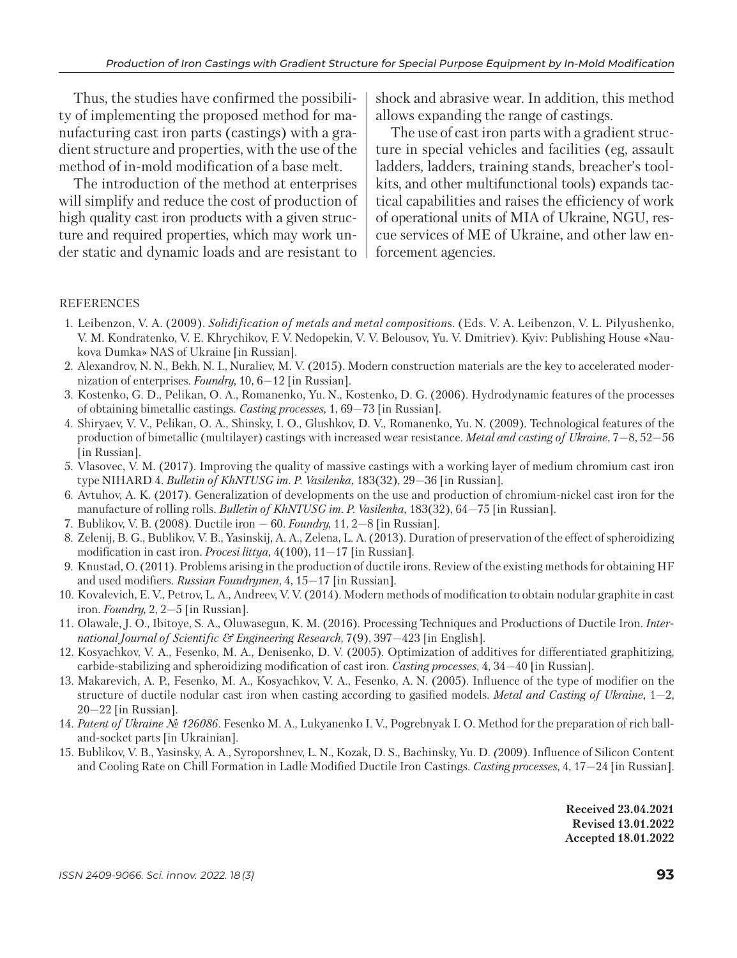Thus, the studies have confirmed the possibility of implementing the proposed method for manufacturing cast iron parts (castings) with a gradient structure and properties, with the use of the method of in-mold modification of a base melt.

The introduction of the method at enterprises will simplify and reduce the cost of production of high quality cast iron products with a given structure and required properties, which may work under static and dynamic loads and are resistant to shock and abrasive wear. In addition, this method allows expanding the range of castings.

The use of cast iron parts with a gradient structure in special vehicles and facilities (eg, assault ladders, ladders, training stands, breacher's toolkits, and other multifunctional tools) expands tactical capabilities and raises the efficiency of work of operational units of MIA of Ukraine, NGU, rescue services of ME of Ukraine, and other law enforcement agencies.

## REFERENCES

- 1. Leibenzon, V. A. (2009). *Solidification of metals and metal composition*s. (Eds. V. A. Leibenzon, V. L. Pilyushenko, V. M. Kondratenko, V. E. Khrychikov, F. V. Nedopekin, V. V. Belousov, Yu. V. Dmitriev). Kyiv: Publishing House «Naukova Dumka» NAS of Ukraine [in Russian].
- 2. Alexandrov, N. N., Bekh, N. I., Nuraliev, M. V. (2015). Modern construction materials are the key to accelerated modernization of enterprises. *Foundry,* 10, 6—12 [in Russian].
- 3. Kostenko, G. D., Pelikan, O. A., Romanenko, Yu. N., Kostenko, D. G. (2006). Hydrodynamic features of the processes of obtaining bimetallic castings. *Casting processes,* 1, 69—73 [in Russian].
- 4. Shiryaev, V. V., Pelikan, O. A., Shinsky, I. O., Glushkov, D. V., Romanenko, Yu. N. (2009). Technological features of the production of bimetallic (multilayer) castings with increased wear resistance. *Metal and casting of Ukraine*, 7—8, 52—56 [in Russian].
- 5. Vlasovec, V. M. (2017). Improving the quality of massive castings with a working layer of medium chromium cast iron type NIHARD 4. *Bulletin of KhNTUSG im. P. Vasilenka,* 183(32), 29—36 [in Russian].
- 6. Avtuhov, A. K. (2017). Generalization of developments on the use and production of chromium-nickel cast iron for the manufacture of rolling rolls. *Bulletin of KhNTUSG im. P. Vasilenka,* 183(32), 64—75 [in Russian].
- 7.Bublikov, V. B. (2008). Ductile iron 60. *Foundry,* 11, 2—8 [in Russian].
- 8. Zelenij, B. G., Bublikov, V. B., Yasinskij, A. A., Zelena, L. A. (2013). Duration of preservation of the effect of spheroidizing modification in cast iron. *Procesi littya,* 4(100), 11—17 [in Russian].
- 9. Knustad, O. (2011). Problems arising in the production of ductile irons. Review of the existing methods for obtaining HF and used modifiers. *Russian Foundrymen*, 4, 15—17 [in Russian].
- 10.Kovalevich, E. V., Petrov, L. A., Andreev, V. V. (2014). Modern methods of modification to obtain nodular graphite in cast iron. *Foundry,* 2, 2—5 [in Russian].
- 11.Olawale, J. O., Ibitoye, S. A., Oluwasegun, K. M. (2016). Processing Techniques and Productions of Ductile Iron. *International Journal of Scientific & Engineering Research*, 7(9), 397—423 [in English].
- 12. Kosyachkov, V. A., Fesenko, M. A., Denisenko, D. V. (2005). Optimization of additives for differentiated graphitizing, carbide-stabilizing and spheroidizing modification of cast iron. *Casting processes*, 4, 34—40 [in Russian].
- 13. Makarevich, A. P., Fesenko, M. A., Kosyachkov, V. A., Fesenko, A. N. (2005). Influence of the type of modifier on the structure of ductile nodular cast iron when casting according to gasified models. *Metal and Casting of Ukraine*, 1—2, 20—22 [in Russian].
- 14. *Patent of Ukraine № 126086.* Fesenko M. A., Lukyanenko I. V., Pogrebnyak I. O. Method for the preparation of rich balland-socket parts [in Ukrainian].
- 15. Bublikov, V. B., Yasinsky, A. A., Syroporshnev, L. N., Kozak, D. S., Bachinsky, Yu. D. *(*2009)*.* Influence of Silicon Content and Cooling Rate on Chill Formation in Ladle Modified Ductile Iron Castings. *Casting processes*, 4, 17—24 [in Russian].

**Received 23.04.2021 Revised 13.01.2022 Accepted 18.01.2022**